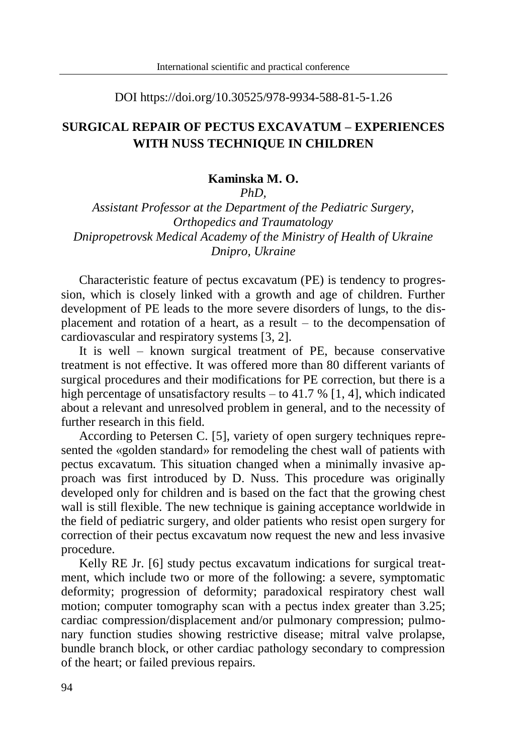DOI https://doi.org/10.30525/978-9934-588-81-5-1.26

## **SURGICAL REPAIR OF PECTUS EXCAVATUM – EXPERIENCES WITH NUSS TECHNIQUE IN CHILDREN**

#### **Kaminska M. O.**

*PhD,*

*Assistant Professor at the Department of the Pediatric Surgery, Orthopedics and Traumatology Dnipropetrovsk Medical Academy of the Ministry of Health of Ukraine Dnipro, Ukraine*

Characteristic feature of pectus excavatum (PE) is tendency to progression, which is closely linked with a growth and age of children. Further development of PE leads to the more severe disorders of lungs, to the displacement and rotation of a heart, as a result – to the decompensation of cardiovascular and respiratory systems [3, 2].

It is well – known surgical treatment of PE, because conservative treatment is not effective. It was offered more than 80 different variants of surgical procedures and their modifications for PE correction, but there is a high percentage of unsatisfactory results – to 41.7 % [1, 4], which indicated about a relevant and unresolved problem in general, and to the necessity of further research in this field.

According to Petersen C. [5], variety of open surgery techniques represented the «golden standard» for remodeling the chest wall of patients with pectus excavatum. This situation changed when a minimally invasive approach was first introduced by D. Nuss. This procedure was originally developed only for children and is based on the fact that the growing chest wall is still flexible. The new technique is gaining acceptance worldwide in the field of pediatric surgery, and older patients who resist open surgery for correction of their pectus excavatum now request the new and less invasive procedure.

Kelly RE Jr. [6] study pectus excavatum indications for surgical treatment, which include two or more of the following: a severe, symptomatic deformity; progression of deformity; paradoxical respiratory chest wall motion; computer tomography scan with a pectus index greater than 3.25; cardiac compression/displacement and/or pulmonary compression; pulmonary function studies showing restrictive disease; mitral valve prolapse, bundle branch block, or other cardiac pathology secondary to compression of the heart; or failed previous repairs.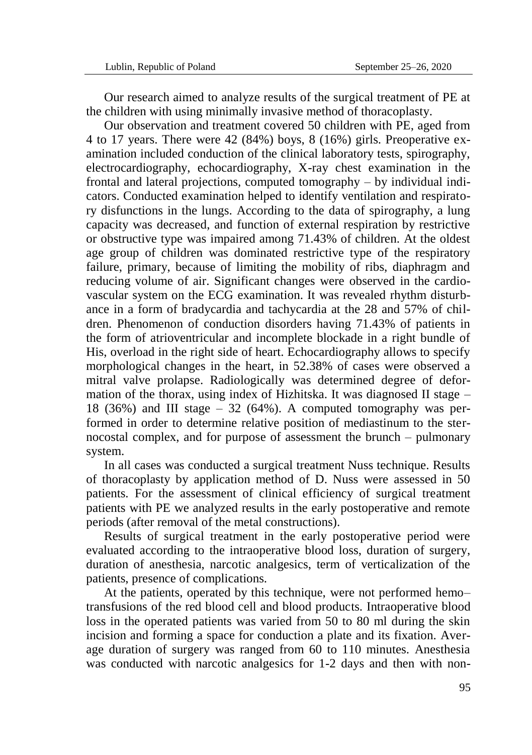Our research aimed to analyze results of the surgical treatment of PE at the children with using minimally invasive method of thoracoplasty.

Our observation and treatment covered 50 children with PE, aged from 4 to 17 years. There were 42 (84%) boys, 8 (16%) girls. Preoperative examination included conduction of the clinical laboratory tests, spirography, electrocardiography, echocardiography, X-ray chest examination in the frontal and lateral projections, computed tomography – by individual indicators. Conducted examination helped to identify ventilation and respiratory disfunctions in the lungs. According to the data of spirography, a lung capacity was decreased, and function of external respiration by restrictive or obstructive type was impaired among 71.43% of children. At the oldest age group of children was dominated restrictive type of the respiratory failure, primary, because of limiting the mobility of ribs, diaphragm and reducing volume of air. Significant changes were observed in the cardiovascular system on the ECG examination. It was revealed rhythm disturbance in a form of bradycardia and tachycardia at the 28 and 57% of children. Phenomenon of conduction disorders having 71.43% of patients in the form of atrioventricular and incomplete blockade in a right bundle of His, overload in the right side of heart. Echocardiography allows to specify morphological changes in the heart, in 52.38% of cases were observed a mitral valve prolapse. Radiologically was determined degree of deformation of the thorax, using index of Hizhitska. It was diagnosed  $\text{II stage}$  – 18 (36%) and III stage  $-32$  (64%). A computed tomography was performed in order to determine relative position of mediastinum to the sternocostal complex, and for purpose of assessment the brunch – pulmonary system.

In all cases was conducted a surgical treatment Nuss technique. Results of thoracoplasty by application method of D. Nuss were assessed in 50 patients. For the assessment of clinical efficiency of surgical treatment patients with PE we analyzed results in the early postoperative and remote periods (after removal of the metal constructions).

Results of surgical treatment in the early postoperative period were evaluated according to the intraoperative blood loss, duration of surgery, duration of anesthesia, narcotic analgesics, term of verticalization of the patients, presence of complications.

At the patients, operated by this technique, were not performed hemo– transfusions of the red blood cell and blood products. Intraoperative blood loss in the operated patients was varied from 50 to 80 ml during the skin incision and forming a space for conduction a plate and its fixation. Average duration of surgery was ranged from 60 to 110 minutes. Anesthesia was conducted with narcotic analgesics for 1-2 days and then with non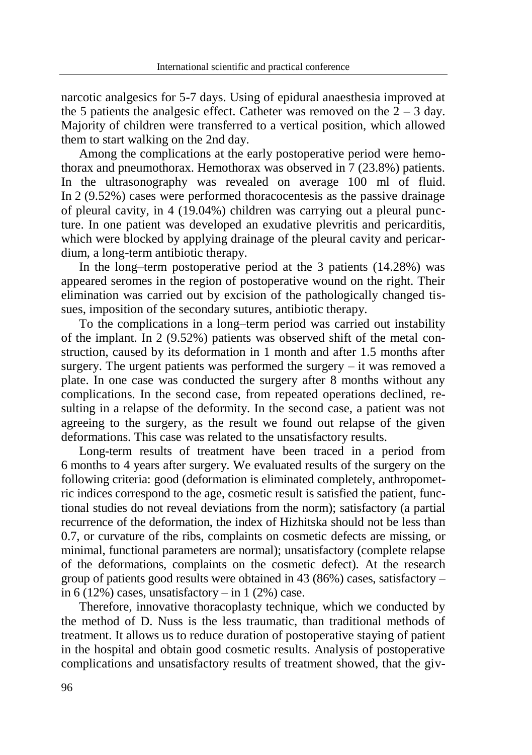narcotic analgesics for 5-7 days. Using of epidural anaesthesia improved at the 5 patients the analgesic effect. Catheter was removed on the  $2 - 3$  day. Majority of children were transferred to a vertical position, which allowed them to start walking on the 2nd day.

Among the complications at the early postoperative period were hemothorax and pneumothorax. Hemothorax was observed in 7 (23.8%) patients. In the ultrasonography was revealed on average 100 ml of fluid. In 2 (9.52%) cases were performed thoracocentesis as the passive drainage of pleural cavity, in 4 (19.04%) children was carrying out a pleural puncture. In one patient was developed an exudative plevritis and pericarditis, which were blocked by applying drainage of the pleural cavity and pericardium, a long-term antibiotic therapy.

In the long–term postoperative period at the 3 patients (14.28%) was appeared seromes in the region of postoperative wound on the right. Their elimination was carried out by excision of the pathologically changed tissues, imposition of the secondary sutures, antibiotic therapy.

To the complications in a long–term period was carried out instability of the implant. In 2 (9.52%) patients was observed shift of the metal construction, caused by its deformation in 1 month and after 1.5 months after surgery. The urgent patients was performed the surgery  $-$  it was removed a plate. In one case was conducted the surgery after 8 months without any complications. In the second case, from repeated operations declined, resulting in a relapse of the deformity. In the second case, a patient was not agreeing to the surgery, as the result we found out relapse of the given deformations. This case was related to the unsatisfactory results.

Long-term results of treatment have been traced in a period from 6 months to 4 years after surgery. We evaluated results of the surgery on the following criteria: good (deformation is eliminated completely, anthropometric indices correspond to the age, cosmetic result is satisfied the patient, functional studies do not reveal deviations from the norm); satisfactory (a partial recurrence of the deformation, the index of Hizhitska should not be less than 0.7, or curvature of the ribs, complaints on cosmetic defects are missing, or minimal, functional parameters are normal); unsatisfactory (complete relapse of the deformations, complaints on the cosmetic defect). At the research group of patients good results were obtained in 43 (86%) cases, satisfactory – in 6 (12%) cases, unsatisfactory – in 1 (2%) case.

Therefore, innovative thoracoplasty technique, which we conducted by the method of D. Nuss is the less traumatic, than traditional methods of treatment. It allows us to reduce duration of postoperative staying of patient in the hospital and obtain good cosmetic results. Analysis of postoperative complications and unsatisfactory results of treatment showed, that the giv